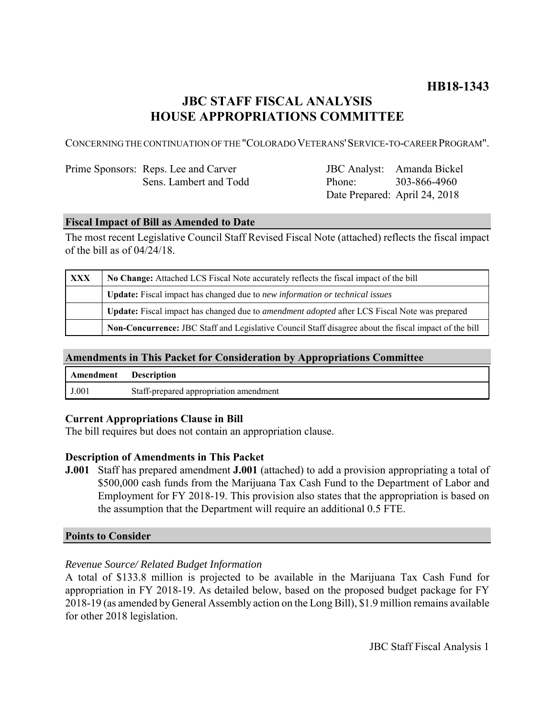# **HB18-1343**

## **JBC STAFF FISCAL ANALYSIS HOUSE APPROPRIATIONS COMMITTEE**

CONCERNING THE CONTINUATION OF THE "COLORADO VETERANS'SERVICE-TO-CAREER PROGRAM".

| Prime Sponsors: Reps. Lee and Carver |  |  |
|--------------------------------------|--|--|
| Sens. Lambert and Todd               |  |  |

JBC Analyst: Amanda Bickel Phone: Date Prepared: April 24, 2018 303-866-4960

#### **Fiscal Impact of Bill as Amended to Date**

The most recent Legislative Council Staff Revised Fiscal Note (attached) reflects the fiscal impact of the bill as of 04/24/18.

| XXX | No Change: Attached LCS Fiscal Note accurately reflects the fiscal impact of the bill                 |  |  |
|-----|-------------------------------------------------------------------------------------------------------|--|--|
|     | <b>Update:</b> Fiscal impact has changed due to new information or technical issues                   |  |  |
|     | Update: Fiscal impact has changed due to <i>amendment adopted</i> after LCS Fiscal Note was prepared  |  |  |
|     | Non-Concurrence: JBC Staff and Legislative Council Staff disagree about the fiscal impact of the bill |  |  |

### **Amendments in This Packet for Consideration by Appropriations Committee**

| Amendment | <b>Description</b>                     |
|-----------|----------------------------------------|
| J.001     | Staff-prepared appropriation amendment |

#### **Current Appropriations Clause in Bill**

The bill requires but does not contain an appropriation clause.

#### **Description of Amendments in This Packet**

**J.001** Staff has prepared amendment **J.001** (attached) to add a provision appropriating a total of \$500,000 cash funds from the Marijuana Tax Cash Fund to the Department of Labor and Employment for FY 2018-19. This provision also states that the appropriation is based on the assumption that the Department will require an additional 0.5 FTE.

#### **Points to Consider**

#### *Revenue Source/ Related Budget Information*

A total of \$133.8 million is projected to be available in the Marijuana Tax Cash Fund for appropriation in FY 2018-19. As detailed below, based on the proposed budget package for FY 2018-19 (as amended by General Assembly action on the Long Bill), \$1.9 million remains available for other 2018 legislation.